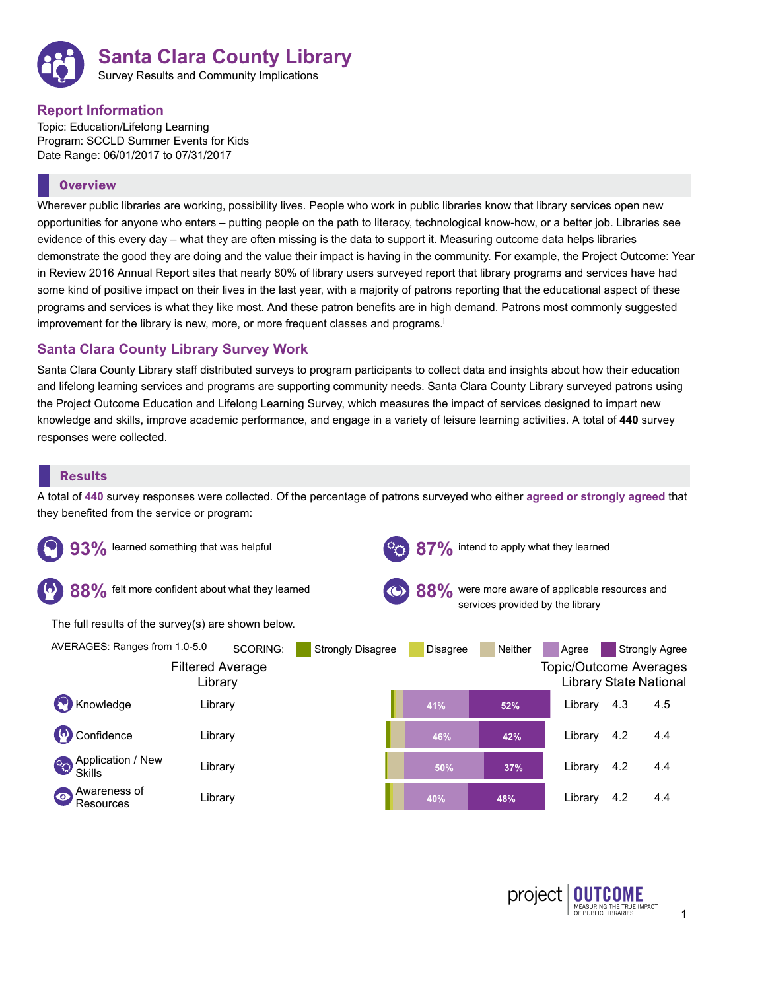

## **Report Information**

Topic: Education/Lifelong Learning Program: SCCLD Summer Events for Kids Date Range: 06/01/2017 to 07/31/2017

# **Overview**

Wherever public libraries are working, possibility lives. People who work in public libraries know that library services open new opportunities for anyone who enters – putting people on the path to literacy, technological know-how, or a better job. Libraries see evidence of this every day – what they are often missing is the data to support it. Measuring outcome data helps libraries demonstrate the good they are doing and the value their impact is having in the community. For example, the Project Outcome: Year in Review 2016 Annual Report sites that nearly 80% of library users surveyed report that library programs and services have had some kind of positive impact on their lives in the last year, with a majority of patrons reporting that the educational aspect of these programs and services is what they like most. And these patron benefits are in high demand. Patrons most commonly suggested improvement for the library is new, more, or more frequent classes and programs. i

# **Santa Clara County Library Survey Work**

Santa Clara County Library staff distributed surveys to program participants to collect data and insights about how their education and lifelong learning services and programs are supporting community needs. Santa Clara County Library surveyed patrons using the Project Outcome Education and Lifelong Learning Survey, which measures the impact of services designed to impart new knowledge and skills, improve academic performance, and engage in a variety of leisure learning activities. A total of **440** survey responses were collected.

## **Results**

A total of **440** survey responses were collected. Of the percentage of patrons surveyed who either **agreed or strongly agreed** that they benefited from the service or program:

| learned something that was helpful                 |                                                |                          | <b>O</b> intend to apply what they learned                                          |                |                                        |     |                                                        |  |
|----------------------------------------------------|------------------------------------------------|--------------------------|-------------------------------------------------------------------------------------|----------------|----------------------------------------|-----|--------------------------------------------------------|--|
| felt more confident about what they learned        |                                                |                          | 88% were more aware of applicable resources and<br>services provided by the library |                |                                        |     |                                                        |  |
| The full results of the survey(s) are shown below. |                                                |                          |                                                                                     |                |                                        |     |                                                        |  |
| AVERAGES: Ranges from 1.0-5.0                      | SCORING:<br><b>Filtered Average</b><br>Library | <b>Strongly Disagree</b> | <b>Disagree</b>                                                                     | <b>Neither</b> | Agree<br><b>Topic/Outcome Averages</b> |     | <b>Strongly Agree</b><br><b>Library State National</b> |  |
| Knowledge                                          | Library                                        |                          | 41%                                                                                 | 52%            | Library                                | 4.3 | 4.5                                                    |  |
| Confidence                                         | Library                                        |                          | 46%                                                                                 | 42%            | Library                                | 4.2 | 4.4                                                    |  |
| Application / New<br>$^{\circ}$<br><b>Skills</b>   | Library                                        |                          | 50%                                                                                 | 37%            | Library                                | 4.2 | 4.4                                                    |  |
| Awareness of<br>$\bullet$<br>Resources             | Library                                        |                          | 40%                                                                                 | 48%            | Library                                | 4.2 | 4.4                                                    |  |

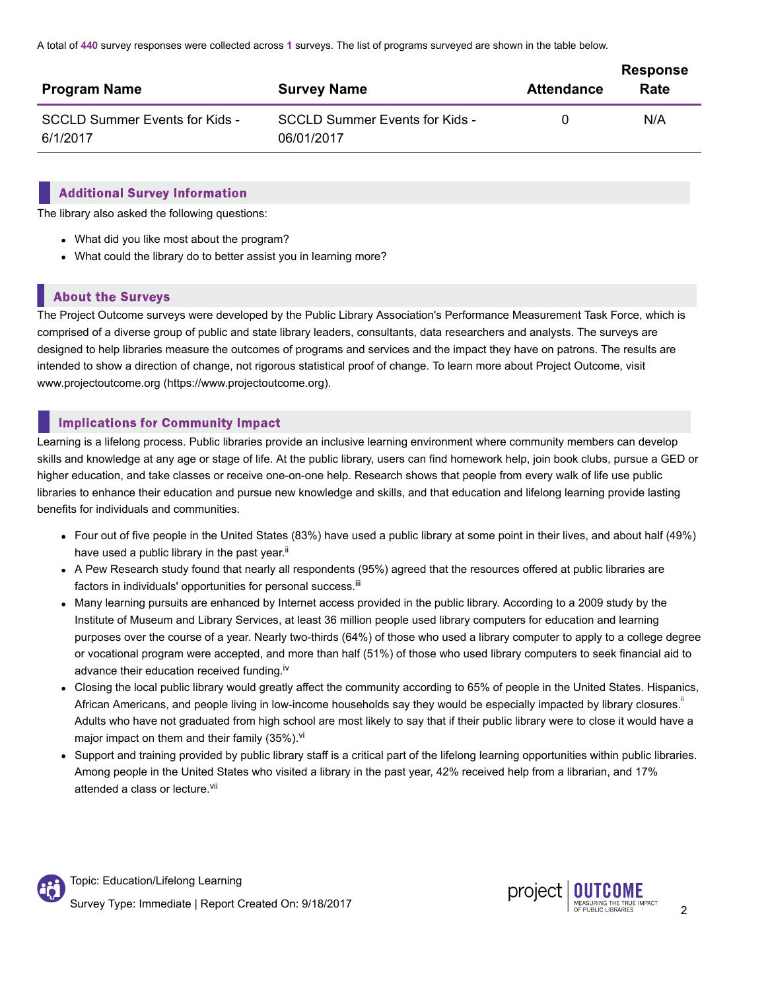A total of **440** survey responses were collected across **1** surveys. The list of programs surveyed are shown in the table below.

| <b>Program Name</b>                        | <b>Survey Name</b>                                  | <b>Attendance</b> | <b>Response</b><br>Rate |
|--------------------------------------------|-----------------------------------------------------|-------------------|-------------------------|
| SCCLD Summer Events for Kids -<br>6/1/2017 | <b>SCCLD Summer Events for Kids -</b><br>06/01/2017 |                   | N/A                     |

#### **Additional Survey Information**

The library also asked the following questions:

- What did you like most about the program?
- What could the library do to better assist you in learning more?

# **About the Surveys**

The Project Outcome surveys were developed by the Public Library Association's Performance Measurement Task Force, which is comprised of a diverse group of public and state library leaders, consultants, data researchers and analysts. The surveys are designed to help libraries measure the outcomes of programs and services and the impact they have on patrons. The results are intended to show a direction of change, not rigorous statistical proof of change. To learn more about Project Outcome, visit www.projectoutcome.org (https://www.projectoutcome.org).

# **Implications for Community Impact**

Learning is a lifelong process. Public libraries provide an inclusive learning environment where community members can develop skills and knowledge at any age or stage of life. At the public library, users can find homework help, join book clubs, pursue a GED or higher education, and take classes or receive one-on-one help. Research shows that people from every walk of life use public libraries to enhance their education and pursue new knowledge and skills, and that education and lifelong learning provide lasting benefits for individuals and communities.

- Four out of five people in the United States (83%) have used a public library at some point in their lives, and about half (49%) have used a public library in the past year.<sup>ii</sup>
- A Pew Research study found that nearly all respondents (95%) agreed that the resources offered at public libraries are factors in individuals' opportunities for personal success.<sup>iii</sup>
- Many learning pursuits are enhanced by Internet access provided in the public library. According to a 2009 study by the Institute of Museum and Library Services, at least 36 million people used library computers for education and learning purposes over the course of a year. Nearly two-thirds (64%) of those who used a library computer to apply to a college degree or vocational program were accepted, and more than half (51%) of those who used library computers to seek financial aid to advance their education received funding.<sup>iv</sup>
- Closing the local public library would greatly affect the community according to 65% of people in the United States. Hispanics, African Americans, and people living in low-income households say they would be especially impacted by library closures.<sup>"</sup> Adults who have not graduated from high school are most likely to say that if their public library were to close it would have a major impact on them and their family (35%).<sup>vi</sup>
- Support and training provided by public library staff is a critical part of the lifelong learning opportunities within public libraries. Among people in the United States who visited a library in the past year, 42% received help from a librarian, and 17% attended a class or lecture.<sup>vii</sup>